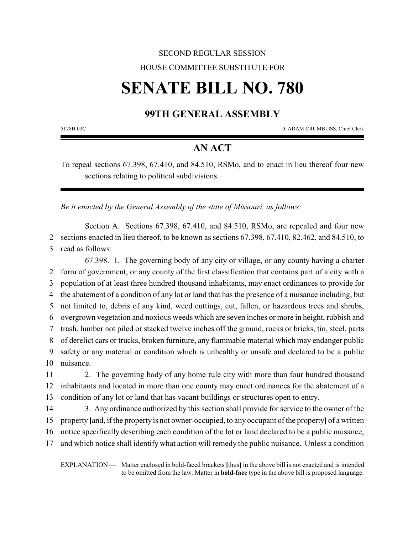## SECOND REGULAR SESSION HOUSE COMMITTEE SUBSTITUTE FOR

# **SENATE BILL NO. 780**

### **99TH GENERAL ASSEMBLY**

5178H.03C D. ADAM CRUMBLISS, Chief Clerk

#### **AN ACT**

To repeal sections 67.398, 67.410, and 84.510, RSMo, and to enact in lieu thereof four new sections relating to political subdivisions.

*Be it enacted by the General Assembly of the state of Missouri, as follows:*

Section A. Sections 67.398, 67.410, and 84.510, RSMo, are repealed and four new 2 sections enacted in lieu thereof, to be known as sections 67.398, 67.410, 82.462, and 84.510, to 3 read as follows:

67.398. 1. The governing body of any city or village, or any county having a charter form of government, or any county of the first classification that contains part of a city with a population of at least three hundred thousand inhabitants, may enact ordinances to provide for the abatement of a condition of any lot or land that has the presence of a nuisance including, but not limited to, debris of any kind, weed cuttings, cut, fallen, or hazardous trees and shrubs, overgrown vegetation and noxious weeds which are seven inches or more in height, rubbish and trash, lumber not piled or stacked twelve inches off the ground, rocks or bricks, tin, steel, parts of derelict cars or trucks, broken furniture, any flammable material which may endanger public safety or any material or condition which is unhealthy or unsafe and declared to be a public nuisance.

11 2. The governing body of any home rule city with more than four hundred thousand 12 inhabitants and located in more than one county may enact ordinances for the abatement of a 13 condition of any lot or land that has vacant buildings or structures open to entry.

14 3. Any ordinance authorized by this section shall provide for service to the owner of the

15 property **[**and, if the property is not owner-occupied, to any occupant of the property**]** of a written

16 notice specifically describing each condition of the lot or land declared to be a public nuisance,

17 and which notice shall identify what action will remedy the public nuisance. Unless a condition

EXPLANATION — Matter enclosed in bold-faced brackets **[**thus**]** in the above bill is not enacted and is intended to be omitted from the law. Matter in **bold-face** type in the above bill is proposed language.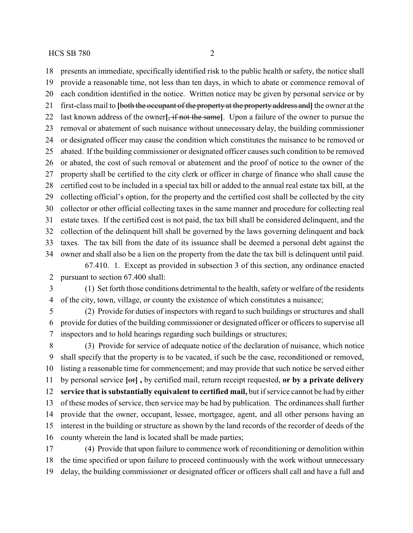presents an immediate, specifically identified risk to the public health or safety, the notice shall provide a reasonable time, not less than ten days, in which to abate or commence removal of each condition identified in the notice. Written notice may be given by personal service or by first-class mail to **[**both the occupant of the property at the property address and**]** the owner at the last known address of the owner**[**, if not the same**]**. Upon a failure of the owner to pursue the removal or abatement of such nuisance without unnecessary delay, the building commissioner or designated officer may cause the condition which constitutes the nuisance to be removed or abated. If the building commissioner or designated officer causes such condition to be removed or abated, the cost of such removal or abatement and the proof of notice to the owner of the property shall be certified to the city clerk or officer in charge of finance who shall cause the certified cost to be included in a special tax bill or added to the annual real estate tax bill, at the collecting official's option, for the property and the certified cost shall be collected by the city

 collector or other official collecting taxes in the same manner and procedure for collecting real estate taxes. If the certified cost is not paid, the tax bill shall be considered delinquent, and the collection of the delinquent bill shall be governed by the laws governing delinquent and back taxes. The tax bill from the date of its issuance shall be deemed a personal debt against the owner and shall also be a lien on the property from the date the tax bill is delinquent until paid.

67.410. 1. Except as provided in subsection 3 of this section, any ordinance enacted pursuant to section 67.400 shall:

 (1) Set forth those conditions detrimental to the health, safety or welfare of the residents of the city, town, village, or county the existence of which constitutes a nuisance;

 (2) Provide for duties of inspectors with regard to such buildings or structures and shall provide for duties of the building commissioner or designated officer or officers to supervise all inspectors and to hold hearings regarding such buildings or structures;

 (3) Provide for service of adequate notice of the declaration of nuisance, which notice shall specify that the property is to be vacated, if such be the case, reconditioned or removed, listing a reasonable time for commencement; and may provide that such notice be served either by personal service **[**or**] ,** by certified mail, return receipt requested, **or by a private delivery service that is substantially equivalent to certified mail,** but if service cannot be had by either of these modes of service, then service may be had by publication. The ordinances shall further provide that the owner, occupant, lessee, mortgagee, agent, and all other persons having an interest in the building or structure as shown by the land records of the recorder of deeds of the county wherein the land is located shall be made parties;

 (4) Provide that upon failure to commence work of reconditioning or demolition within the time specified or upon failure to proceed continuously with the work without unnecessary delay, the building commissioner or designated officer or officers shall call and have a full and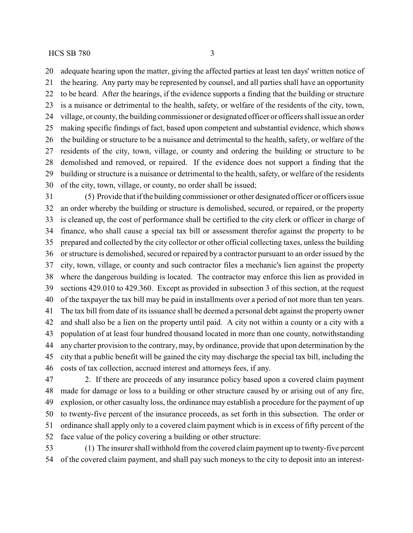adequate hearing upon the matter, giving the affected parties at least ten days' written notice of the hearing. Any party may be represented by counsel, and all parties shall have an opportunity to be heard. After the hearings, if the evidence supports a finding that the building or structure is a nuisance or detrimental to the health, safety, or welfare of the residents of the city, town, village, or county, the building commissioner or designated officer or officers shall issue an order making specific findings of fact, based upon competent and substantial evidence, which shows the building or structure to be a nuisance and detrimental to the health, safety, or welfare of the residents of the city, town, village, or county and ordering the building or structure to be demolished and removed, or repaired. If the evidence does not support a finding that the building or structure is a nuisance or detrimental to the health, safety, or welfare of the residents of the city, town, village, or county, no order shall be issued;

 (5) Provide that if the building commissioner or other designated officer or officers issue an order whereby the building or structure is demolished, secured, or repaired, or the property is cleaned up, the cost of performance shall be certified to the city clerk or officer in charge of finance, who shall cause a special tax bill or assessment therefor against the property to be prepared and collected by the city collector or other official collecting taxes, unless the building or structure is demolished, secured or repaired by a contractor pursuant to an order issued by the city, town, village, or county and such contractor files a mechanic's lien against the property where the dangerous building is located. The contractor may enforce this lien as provided in sections 429.010 to 429.360. Except as provided in subsection 3 of this section, at the request of the taxpayer the tax bill may be paid in installments over a period of not more than ten years. The tax bill from date of its issuance shall be deemed a personal debt against the property owner and shall also be a lien on the property until paid. A city not within a county or a city with a population of at least four hundred thousand located in more than one county, notwithstanding any charter provision to the contrary, may, by ordinance, provide that upon determination by the city that a public benefit will be gained the city may discharge the special tax bill, including the costs of tax collection, accrued interest and attorneys fees, if any.

 2. If there are proceeds of any insurance policy based upon a covered claim payment made for damage or loss to a building or other structure caused by or arising out of any fire, explosion, or other casualty loss, the ordinance may establish a procedure for the payment of up to twenty-five percent of the insurance proceeds, as set forth in this subsection. The order or ordinance shall apply only to a covered claim payment which is in excess of fifty percent of the face value of the policy covering a building or other structure:

 (1) The insurer shall withhold from the covered claim payment up to twenty-five percent of the covered claim payment, and shall pay such moneys to the city to deposit into an interest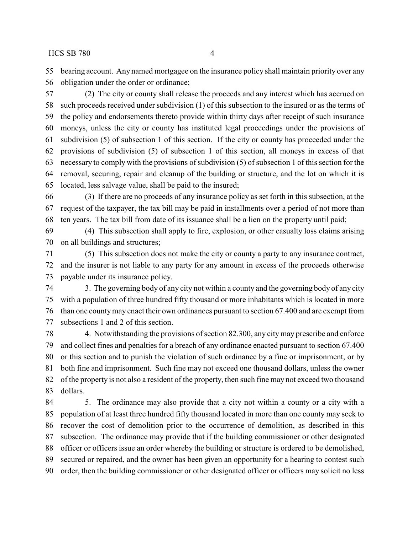bearing account. Any named mortgagee on the insurance policy shall maintain priority over any obligation under the order or ordinance;

 (2) The city or county shall release the proceeds and any interest which has accrued on such proceeds received under subdivision (1) of this subsection to the insured or as the terms of the policy and endorsements thereto provide within thirty days after receipt of such insurance moneys, unless the city or county has instituted legal proceedings under the provisions of subdivision (5) of subsection 1 of this section. If the city or county has proceeded under the provisions of subdivision (5) of subsection 1 of this section, all moneys in excess of that necessary to comply with the provisions of subdivision (5) of subsection 1 of this section for the removal, securing, repair and cleanup of the building or structure, and the lot on which it is located, less salvage value, shall be paid to the insured;

 (3) If there are no proceeds of any insurance policy as set forth in this subsection, at the request of the taxpayer, the tax bill may be paid in installments over a period of not more than ten years. The tax bill from date of its issuance shall be a lien on the property until paid;

 (4) This subsection shall apply to fire, explosion, or other casualty loss claims arising on all buildings and structures;

 (5) This subsection does not make the city or county a party to any insurance contract, and the insurer is not liable to any party for any amount in excess of the proceeds otherwise payable under its insurance policy.

 3. The governing body of any city not within a county and the governing body of any city with a population of three hundred fifty thousand or more inhabitants which is located in more than one countymay enact their own ordinances pursuant to section 67.400 and are exempt from subsections 1 and 2 of this section.

 4. Notwithstanding the provisions of section 82.300, any city may prescribe and enforce and collect fines and penalties for a breach of any ordinance enacted pursuant to section 67.400 or this section and to punish the violation of such ordinance by a fine or imprisonment, or by both fine and imprisonment. Such fine may not exceed one thousand dollars, unless the owner of the property is not also a resident of the property, then such fine may not exceed two thousand dollars.

 5. The ordinance may also provide that a city not within a county or a city with a population of at least three hundred fifty thousand located in more than one county may seek to recover the cost of demolition prior to the occurrence of demolition, as described in this subsection. The ordinance may provide that if the building commissioner or other designated officer or officers issue an order whereby the building or structure is ordered to be demolished, secured or repaired, and the owner has been given an opportunity for a hearing to contest such order, then the building commissioner or other designated officer or officers may solicit no less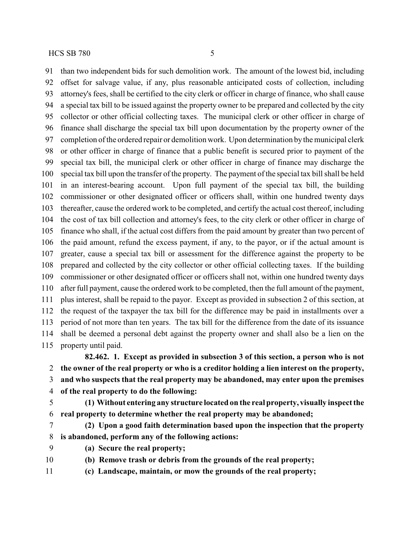than two independent bids for such demolition work. The amount of the lowest bid, including offset for salvage value, if any, plus reasonable anticipated costs of collection, including attorney's fees, shall be certified to the city clerk or officer in charge of finance, who shall cause a special tax bill to be issued against the property owner to be prepared and collected by the city collector or other official collecting taxes. The municipal clerk or other officer in charge of finance shall discharge the special tax bill upon documentation by the property owner of the completion of the ordered repair or demolition work. Upon determination bythe municipal clerk or other officer in charge of finance that a public benefit is secured prior to payment of the special tax bill, the municipal clerk or other officer in charge of finance may discharge the special tax bill upon the transfer of the property. The payment of the special tax bill shall be held in an interest-bearing account. Upon full payment of the special tax bill, the building commissioner or other designated officer or officers shall, within one hundred twenty days thereafter, cause the ordered work to be completed, and certify the actual cost thereof, including the cost of tax bill collection and attorney's fees, to the city clerk or other officer in charge of finance who shall, if the actual cost differs from the paid amount by greater than two percent of the paid amount, refund the excess payment, if any, to the payor, or if the actual amount is greater, cause a special tax bill or assessment for the difference against the property to be prepared and collected by the city collector or other official collecting taxes. If the building commissioner or other designated officer or officers shall not, within one hundred twenty days after full payment, cause the ordered work to be completed, then the full amount of the payment, plus interest, shall be repaid to the payor. Except as provided in subsection 2 of this section, at the request of the taxpayer the tax bill for the difference may be paid in installments over a period of not more than ten years. The tax bill for the difference from the date of its issuance shall be deemed a personal debt against the property owner and shall also be a lien on the property until paid.

**82.462. 1. Except as provided in subsection 3 of this section, a person who is not the owner of the real property or who is a creditor holding a lien interest on the property, and who suspects that the real property may be abandoned, may enter upon the premises of the real property to do the following:**

 **(1) Without entering any structure located on the real property, visually inspect the real property to determine whether the real property may be abandoned;**

- **(2) Upon a good faith determination based upon the inspection that the property is abandoned, perform any of the following actions:**
- **(a) Secure the real property;**

**(b) Remove trash or debris from the grounds of the real property;**

**(c) Landscape, maintain, or mow the grounds of the real property;**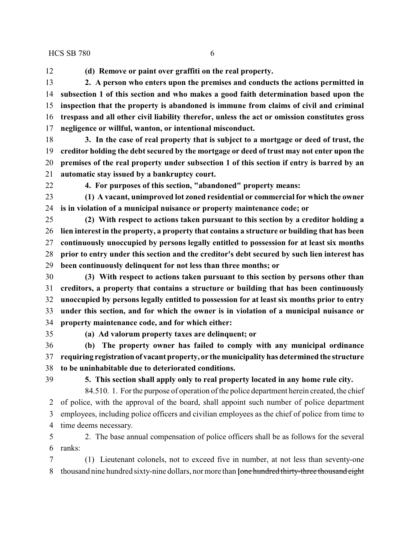$HCSSB 780$  6

**(d) Remove or paint over graffiti on the real property.**

 **2. A person who enters upon the premises and conducts the actions permitted in subsection 1 of this section and who makes a good faith determination based upon the inspection that the property is abandoned is immune from claims of civil and criminal trespass and all other civil liability therefor, unless the act or omission constitutes gross negligence or willful, wanton, or intentional misconduct.**

 **3. In the case of real property that is subject to a mortgage or deed of trust, the creditor holding the debt secured by the mortgage or deed of trust may not enter upon the premises of the real property under subsection 1 of this section if entry is barred by an automatic stay issued by a bankruptcy court.**

**4. For purposes of this section, "abandoned" property means:**

 **(1) A vacant, unimproved lot zoned residential or commercial for which the owner is in violation of a municipal nuisance or property maintenance code; or**

 **(2) With respect to actions taken pursuant to this section by a creditor holding a lien interest in the property, a property that contains a structure or building that has been continuously unoccupied by persons legally entitled to possession for at least six months prior to entry under this section and the creditor's debt secured by such lien interest has been continuously delinquent for not less than three months; or**

 **(3) With respect to actions taken pursuant to this section by persons other than creditors, a property that contains a structure or building that has been continuously unoccupied by persons legally entitled to possession for at least six months prior to entry under this section, and for which the owner is in violation of a municipal nuisance or property maintenance code, and for which either:**

**(a) Ad valorum property taxes are delinquent; or**

 **(b) The property owner has failed to comply with any municipal ordinance requiring registration of vacant property, or the municipality has determined the structure to be uninhabitable due to deteriorated conditions.**

**5. This section shall apply only to real property located in any home rule city.**

84.510. 1. For the purpose of operation of the police department herein created, the chief of police, with the approval of the board, shall appoint such number of police department employees, including police officers and civilian employees as the chief of police from time to time deems necessary.

 2. The base annual compensation of police officers shall be as follows for the several ranks:

 (1) Lieutenant colonels, not to exceed five in number, at not less than seventy-one thousand nine hundred sixty-nine dollars, nor more than **[**one hundred thirty-three thousand eight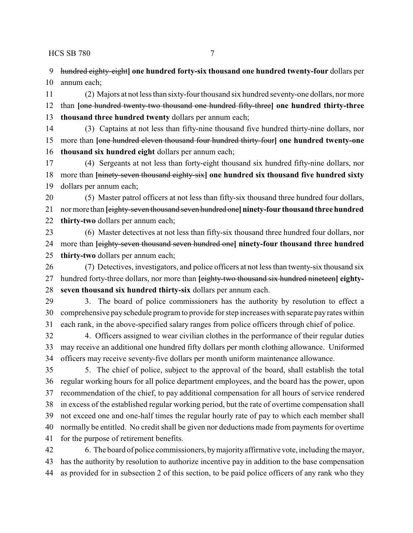HCS SB 780 7

 hundred eighty-eight**] one hundred forty-six thousand one hundred twenty-four** dollars per annum each;

 (2) Majors at not less than sixty-four thousand six hundred seventy-one dollars, nor more than **[**one hundred twenty-two thousand one hundred fifty-three**] one hundred thirty-three thousand three hundred twenty** dollars per annum each;

- (3) Captains at not less than fifty-nine thousand five hundred thirty-nine dollars, nor more than **[**one hundred eleven thousand four hundred thirty-four**] one hundred twenty-one thousand six hundred eight** dollars per annum each;
- (4) Sergeants at not less than forty-eight thousand six hundred fifty-nine dollars, nor more than **[**ninety-seven thousand eighty-six**] one hundred six thousand five hundred sixty** dollars per annum each;
- (5) Master patrol officers at not less than fifty-six thousand three hundred four dollars, nor more than **[**eighty-seven thousand seven hundred one**]ninety-four thousand three hundred thirty-two** dollars per annum each;
- (6) Master detectives at not less than fifty-six thousand three hundred four dollars, nor more than **[**eighty-seven thousand seven hundred one**] ninety-four thousand three hundred thirty-two** dollars per annum each;
- (7) Detectives, investigators, and police officers at not less than twenty-six thousand six hundred forty-three dollars, nor more than **[**eighty-two thousand six hundred nineteen**] eighty-seven thousand six hundred thirty-six** dollars per annum each.
- 3. The board of police commissioners has the authority by resolution to effect a comprehensive pay schedule program to provide for step increases with separate pay rates within each rank, in the above-specified salary ranges from police officers through chief of police.
- 4. Officers assigned to wear civilian clothes in the performance of their regular duties may receive an additional one hundred fifty dollars per month clothing allowance. Uniformed officers may receive seventy-five dollars per month uniform maintenance allowance.
- 5. The chief of police, subject to the approval of the board, shall establish the total regular working hours for all police department employees, and the board has the power, upon recommendation of the chief, to pay additional compensation for all hours of service rendered in excess of the established regular working period, but the rate of overtime compensation shall not exceed one and one-half times the regular hourly rate of pay to which each member shall normally be entitled. No credit shall be given nor deductions made from payments for overtime for the purpose of retirement benefits.
- 6. The board of police commissioners, bymajorityaffirmative vote, including the mayor, has the authority by resolution to authorize incentive pay in addition to the base compensation as provided for in subsection 2 of this section, to be paid police officers of any rank who they